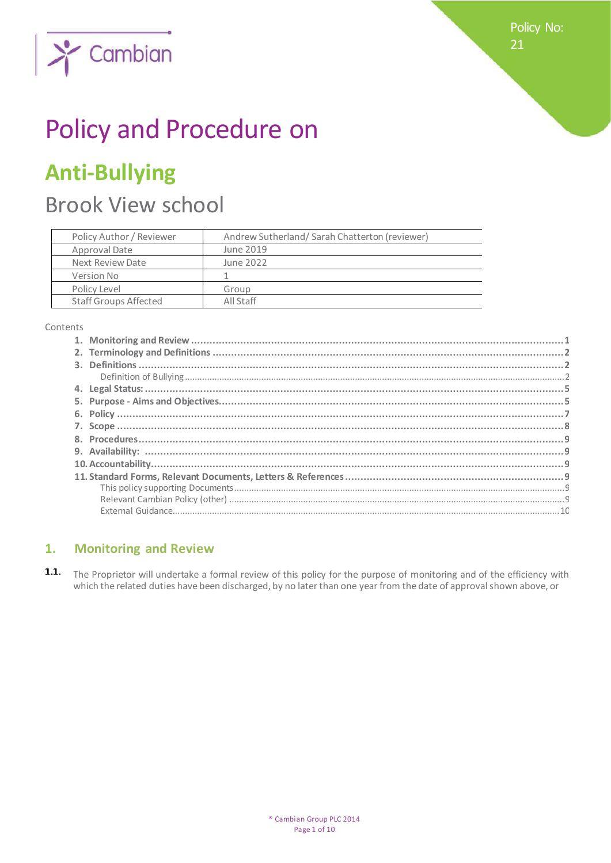Policy No: 21



# Policy and Procedure on

## **Anti-Bullying**

## **Brook View school**

| Policy Author / Reviewer     | Andrew Sutherland/Sarah Chatterton (reviewer) |
|------------------------------|-----------------------------------------------|
| Approval Date                | June 2019                                     |
| Next Review Date             | June 2022                                     |
| Version No                   |                                               |
| Policy Level                 | Group                                         |
| <b>Staff Groups Affected</b> | All Staff                                     |

Contents

#### **Monitoring and Review**  $1.$

 $1.1.$ The Proprietor will undertake a formal review of this policy for the purpose of monitoring and of the efficiency with which the related duties have been discharged, by no later than one year from the date of approval shown above, or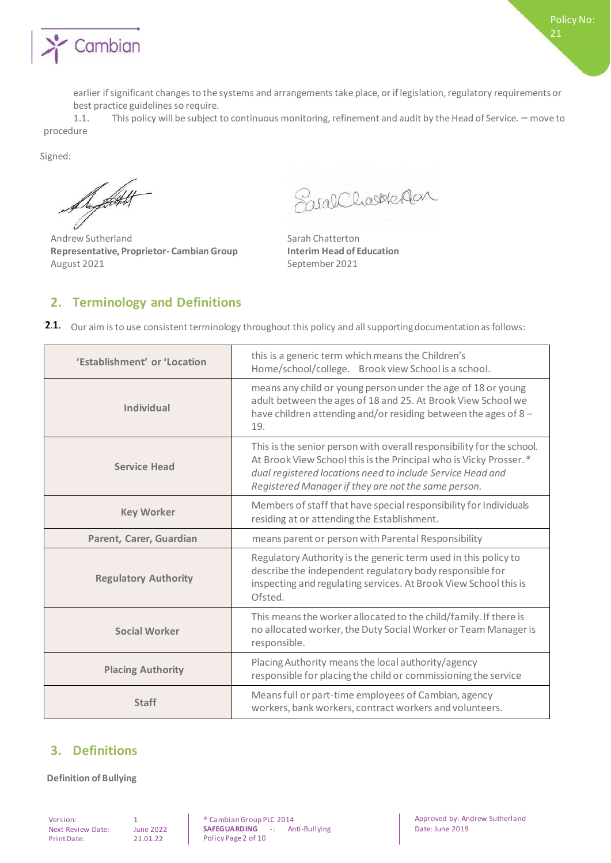

1.1. This policy will be subject to continuous monitoring, refinement and audit by the Head of Service. – move to procedure

Signed:

Defective

Andrew Sutherland Sarah Chatterton **Representative, Proprietor- Cambian Group Interim Head of Education** August 2021 **September 2021** 

Spearchasterlan

### **2. Terminology and Definitions**

2.1. Our aim is to use consistent terminology throughout this policy and all supporting documentation as follows:

| 'Establishment' or 'Location | this is a generic term which means the Children's<br>Home/school/college. Brook view School is a school.                                                                                                                                                        |
|------------------------------|-----------------------------------------------------------------------------------------------------------------------------------------------------------------------------------------------------------------------------------------------------------------|
| <b>Individual</b>            | means any child or young person under the age of 18 or young<br>adult between the ages of 18 and 25. At Brook View School we<br>have children attending and/or residing between the ages of 8 -<br>19.                                                          |
| <b>Service Head</b>          | This is the senior person with overall responsibility for the school.<br>At Brook View School this is the Principal who is Vicky Prosser.*<br>dual registered locations need to include Service Head and<br>Registered Manager if they are not the same person. |
| <b>Key Worker</b>            | Members of staff that have special responsibility for Individuals<br>residing at or attending the Establishment.                                                                                                                                                |
| Parent, Carer, Guardian      | means parent or person with Parental Responsibility                                                                                                                                                                                                             |
| <b>Regulatory Authority</b>  | Regulatory Authority is the generic term used in this policy to<br>describe the independent regulatory body responsible for<br>inspecting and regulating services. At Brook View School this is<br>Ofsted.                                                      |
| <b>Social Worker</b>         | This means the worker allocated to the child/family. If there is<br>no allocated worker, the Duty Social Worker or Team Manager is<br>responsible.                                                                                                              |
| <b>Placing Authority</b>     | Placing Authority means the local authority/agency<br>responsible for placing the child or commissioning the service                                                                                                                                            |
| <b>Staff</b>                 | Means full or part-time employees of Cambian, agency<br>workers, bank workers, contract workers and volunteers.                                                                                                                                                 |

### **3. Definitions**

**Definition of Bullying**

Version: 1<br>Next Review Date: June 2022 Next Review Date: Print Date: 21.01.22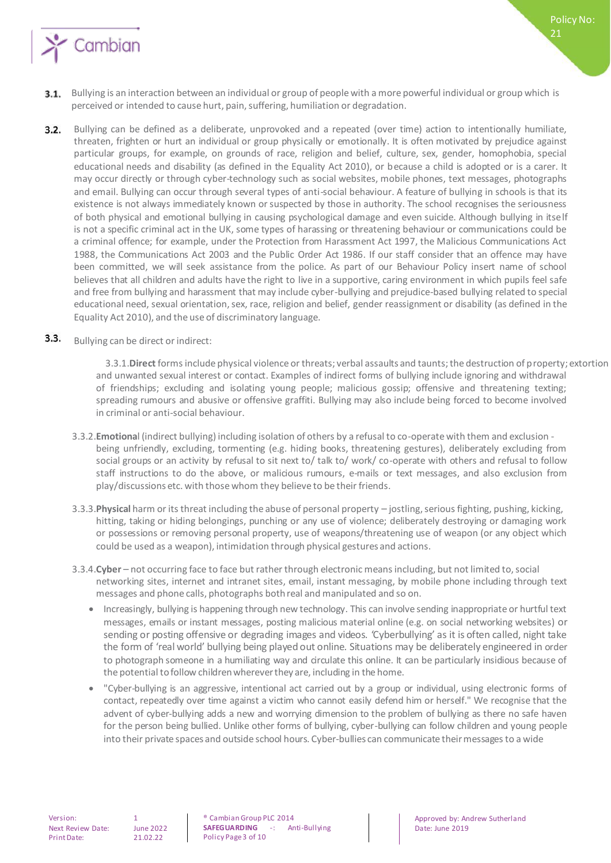

- 3.1. Bullying is an interaction between an individual or group of people with a more powerful individual or group which is perceived or intended to cause hurt, pain, suffering, humiliation or degradation.
- Bullying can be defined as a deliberate, unprovoked and a repeated (over time) action to intentionally humiliate,  $3.2.$ threaten, frighten or hurt an individual or group physically or emotionally. It is often motivated by prejudice against particular groups, for example, on grounds of race, religion and belief, culture, sex, gender, homophobia, special educational needs and disability (as defined in the Equality Act 2010), or because a child is adopted or is a carer. It may occur directly or through cyber-technology such as social websites, mobile phones, text messages, photographs and email. Bullying can occur through several types of anti-social behaviour. A feature of bullying in schools is that its existence is not always immediately known or suspected by those in authority. The school recognises the seriousness of both physical and emotional bullying in causing psychological damage and even suicide. Although bullying in itself is not a specific criminal act in the UK, some types of harassing or threatening behaviour or communications could be a criminal offence; for example, under the Protection from Harassment Act 1997, the Malicious Communications Act 1988, the Communications Act 2003 and the Public Order Act 1986. If our staff consider that an offence may have been committed, we will seek assistance from the police. As part of our Behaviour Policy insert name of school believes that all children and adults have the right to live in a supportive, caring environment in which pupils feel safe and free from bullying and harassment that may include cyber-bullying and prejudice-based bullying related to special educational need, sexual orientation, sex, race, religion and belief, gender reassignment or disability (as defined in the Equality Act 2010), and the use of discriminatory language.

#### $3.3.$ Bullying can be direct or indirect:

3.3.1.**Direct** forms include physical violence or threats; verbal assaults and taunts; the destruction of property; extortion and unwanted sexual interest or contact. Examples of indirect forms of bullying include ignoring and withdrawal of friendships; excluding and isolating young people; malicious gossip; offensive and threatening texting; spreading rumours and abusive or offensive graffiti. Bullying may also include being forced to become involved in criminal or anti-social behaviour.

- 3.3.2.**Emotiona**l (indirect bullying) including isolation of others by a refusal to co-operate with them and exclusion being unfriendly, excluding, tormenting (e.g. hiding books, threatening gestures), deliberately excluding from social groups or an activity by refusal to sit next to/ talk to/ work/ co-operate with others and refusal to follow staff instructions to do the above, or malicious rumours, e-mails or text messages, and also exclusion from play/discussions etc. with those whom they believe to be their friends.
- 3.3.3.**Physical** harm or its threat including the abuse of personal property jostling, serious fighting, pushing, kicking, hitting, taking or hiding belongings, punching or any use of violence; deliberately destroying or damaging work or possessions or removing personal property, use of weapons/threatening use of weapon (or any object which could be used as a weapon), intimidation through physical gestures and actions.
- 3.3.4.**Cyber**  not occurring face to face but rather through electronic means including, but not limited to, social networking sites, internet and intranet sites, email, instant messaging, by mobile phone including through text messages and phone calls, photographs both real and manipulated and so on.
	- Increasingly, bullying is happening through new technology. This can involve sending inappropriate or hurtful text messages, emails or instant messages, posting malicious material online (e.g. on social networking websites) or sending or posting offensive or degrading images and videos. 'Cyberbullying' as it is often called, night take the form of 'real world' bullying being played out online. Situations may be deliberately engineered in order to photograph someone in a humiliating way and circulate this online. It can be particularly insidious because of the potential to follow children wherever they are, including in the home.
	- "Cyber-bullying is an aggressive, intentional act carried out by a group or individual, using electronic forms of contact, repeatedly over time against a victim who cannot easily defend him or herself." We recognise that the advent of cyber-bullying adds a new and worrying dimension to the problem of bullying as there no safe haven for the person being bullied. Unlike other forms of bullying, cyber-bullying can follow children and young people into their private spaces and outside school hours. Cyber-bullies can communicate their messages to a wide

Policy No: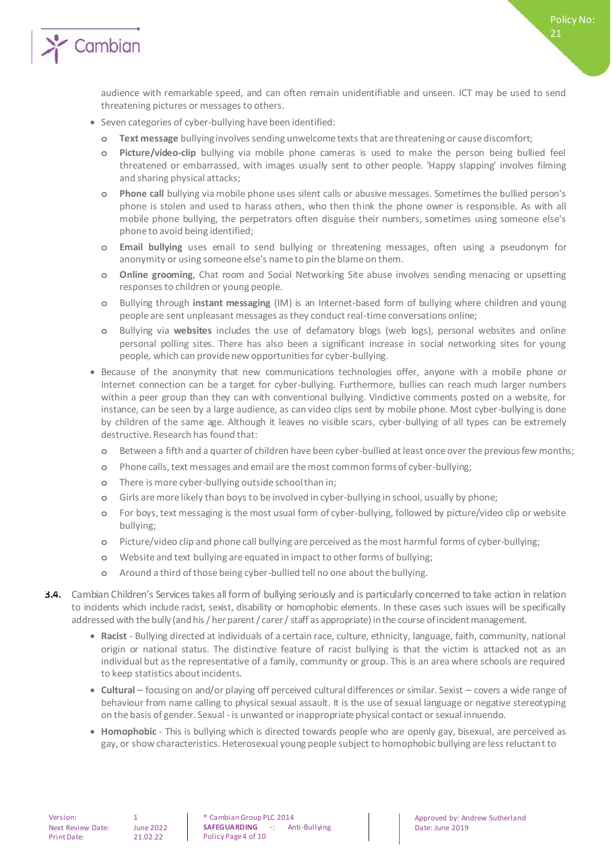

audience with remarkable speed, and can often remain unidentifiable and unseen. ICT may be used to send threatening pictures or messages to others.

Policy No:

21

- Seven categories of cyber-bullying have been identified:
	- **o Text message** bullying involves sending unwelcome texts that are threatening or cause discomfort;
	- **o Picture/video-clip** bullying via mobile phone cameras is used to make the person being bullied feel threatened or embarrassed, with images usually sent to other people. 'Happy slapping' involves filming and sharing physical attacks;
	- **o Phone call** bullying via mobile phone uses silent calls or abusive messages. Sometimes the bullied person's phone is stolen and used to harass others, who then think the phone owner is responsible. As with all mobile phone bullying, the perpetrators often disguise their numbers, sometimes using someone else's phone to avoid being identified;
	- **o Email bullying** uses email to send bullying or threatening messages, often using a pseudonym for anonymity or using someone else's name to pin the blame on them.
	- **o Online grooming**, Chat room and Social Networking Site abuse involves sending menacing or upsetting responses to children or young people.
	- **o** Bullying through **instant messaging** (IM) is an Internet-based form of bullying where children and young people are sent unpleasant messages as they conduct real-time conversations online;
	- **o** Bullying via **websites** includes the use of defamatory blogs (web logs), personal websites and online personal polling sites. There has also been a significant increase in social networking sites for young people, which can provide new opportunities for cyber-bullying.
- Because of the anonymity that new communications technologies offer, anyone with a mobile phone or Internet connection can be a target for cyber-bullying. Furthermore, bullies can reach much larger numbers within a peer group than they can with conventional bullying. Vindictive comments posted on a website, for instance, can be seen by a large audience, as can video clips sent by mobile phone. Most cyber-bullying is done by children of the same age. Although it leaves no visible scars, cyber-bullying of all types can be extremely destructive. Research has found that:
	- **o** Between a fifth and a quarter of children have been cyber-bullied at least once over the previous few months;
	- **o** Phone calls, text messages and email are the most common forms of cyber-bullying;
	- **o** There is more cyber-bullying outside school than in;
	- **o** Girls are more likely than boys to be involved in cyber-bullying in school, usually by phone;
	- **o** For boys, text messaging is the most usual form of cyber-bullying, followed by picture/video clip or website bullying;
	- **o** Picture/video clip and phone call bullying are perceived as the most harmful forms of cyber-bullying;
	- **o** Website and text bullying are equated in impact to other forms of bullying;
	- **o** Around a third of those being cyber-bullied tell no one about the bullying.
- Cambian Children's Services takes all form of bullying seriously and is particularly concerned to take action in relation to incidents which include racist, sexist, disability or homophobic elements. In these cases such issues will be specifically addressed with the bully (and his / her parent / carer / staff as appropriate) in the course of incident management.
	- **Racist**  Bullying directed at individuals of a certain race, culture, ethnicity, language, faith, community, national origin or national status. The distinctive feature of racist bullying is that the victim is attacked not as an individual but as the representative of a family, community or group. This is an area where schools are required to keep statistics about incidents.
	- **Cultural**  focusing on and/or playing off perceived cultural differences or similar. Sexist covers a wide range of behaviour from name calling to physical sexual assault. It is the use of sexual language or negative stereotyping on the basis of gender. Sexual - is unwanted or inappropriate physical contact or sexual innuendo.
	- **Homophobic**  This is bullying which is directed towards people who are openly gay, bisexual, are perceived as gay, or show characteristics. Heterosexual young people subject to homophobic bullying are less reluctant to

® Cambian Group PLC 2014 **SAFEGUARDING** -: Anti-Bullying Policy Page 4 of 10

Approved by: Andrew Sutherland Date: June 2019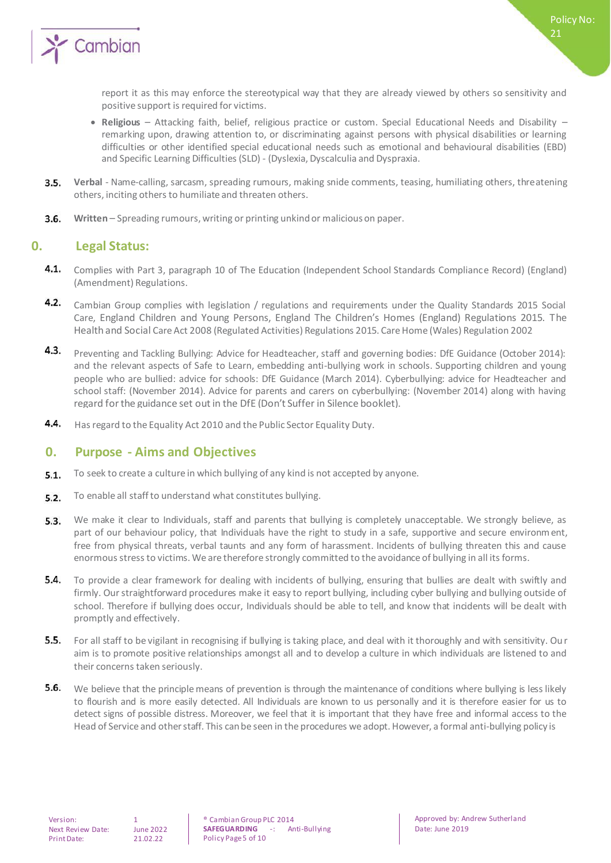

report it as this may enforce the stereotypical way that they are already viewed by others so sensitivity and positive support is required for victims.

- **Religious**  Attacking faith, belief, religious practice or custom. Special Educational Needs and Disability remarking upon, drawing attention to, or discriminating against persons with physical disabilities or learning difficulties or other identified special educational needs such as emotional and behavioural disabilities (EBD) and Specific Learning Difficulties (SLD) - (Dyslexia, Dyscalculia and Dyspraxia.
- **Verbal**  Name-calling, sarcasm, spreading rumours, making snide comments, teasing, humiliating others, threatening  $3.5.$ others, inciting others to humiliate and threaten others.
- $3.6.$ **Written** – Spreading rumours, writing or printing unkind or malicious on paper.

#### **0. Legal Status:**

- $4.1.$ Complies with Part 3, paragraph 10 of The Education (Independent School Standards Compliance Record) (England) (Amendment) Regulations.
- $4.2.$ Cambian Group complies with legislation / regulations and requirements under the Quality Standards 2015 Social Care, England Children and Young Persons, England The Children's Homes (England) Regulations 2015. The Health and Social Care Act 2008 (Regulated Activities) Regulations 2015. Care Home (Wales) Regulation 2002
- $4.3.$ Preventing and Tackling Bullying: Advice for Headteacher, staff and governing bodies: DfE Guidance (October 2014): and the relevant aspects of Safe to Learn, embedding anti-bullying work in schools. Supporting children and young people who are bullied: advice for schools: DfE Guidance (March 2014). Cyberbullying: advice for Headteacher and school staff: (November 2014). Advice for parents and carers on cyberbullying: (November 2014) along with having regard for the guidance set out in the DfE (Don't Suffer in Silence booklet).
- 4.4. Has regard to the Equality Act 2010 and the Public Sector Equality Duty.

#### **0. Purpose - Aims and Objectives**

- To seek to create a culture in which bullying of any kind is not accepted by anyone.  $5.1.$
- $5.2.$ To enable all staff to understand what constitutes bullying.
- $5.3.$ We make it clear to Individuals, staff and parents that bullying is completely unacceptable. We strongly believe, as part of our behaviour policy, that Individuals have the right to study in a safe, supportive and secure environment, free from physical threats, verbal taunts and any form of harassment. Incidents of bullying threaten this and cause enormous stress to victims. We are therefore strongly committed to the avoidance of bullying in all its forms.
- **5.4.** To provide a clear framework for dealing with incidents of bullying, ensuring that bullies are dealt with swiftly and firmly. Our straightforward procedures make it easy to report bullying, including cyber bullying and bullying outside of school. Therefore if bullying does occur, Individuals should be able to tell, and know that incidents will be dealt with promptly and effectively.
- 5.5. For all staff to be vigilant in recognising if bullying is taking place, and deal with it thoroughly and with sensitivity. Ou r aim is to promote positive relationships amongst all and to develop a culture in which individuals are listened to and their concerns taken seriously.
- 5.6. We believe that the principle means of prevention is through the maintenance of conditions where bullying is less likely to flourish and is more easily detected. All Individuals are known to us personally and it is therefore easier for us to detect signs of possible distress. Moreover, we feel that it is important that they have free and informal access to the Head of Service and other staff. This can be seen in the procedures we adopt. However, a formal anti-bullying policy is

<sup>®</sup> Cambian Group PLC 2014<br>**SAFEGUARDING** -: An **SAFEGUARDING** -: Anti-Bullying Policy Page 5 of 10

Approved by: Andrew Sutherland Date: June 2019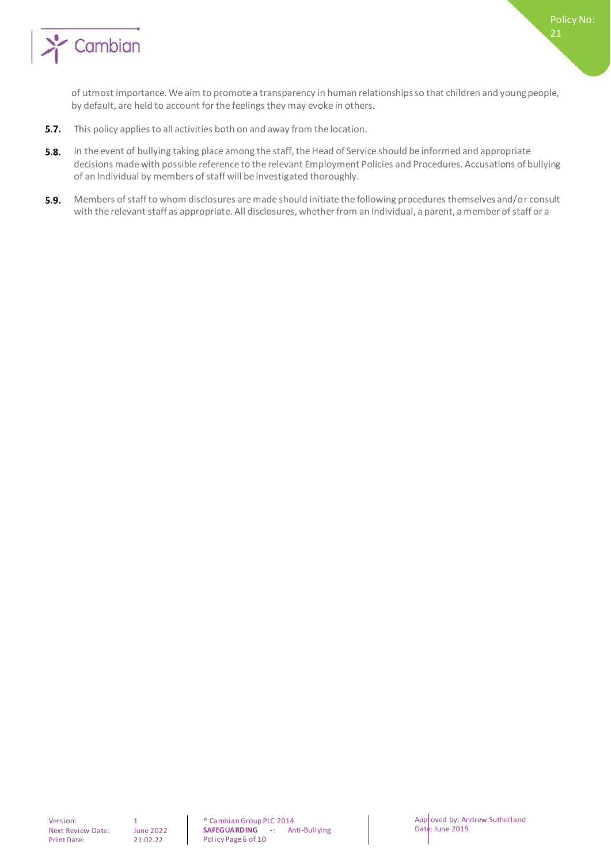

of utmost importance. We aim to promote a transparency in human relationships so that children and young people, by default, are held to account for the feelings they may evoke in others.

- $5.7.$ This policy applies to all activities both on and away from the location.
- $5.8.$ In the event of bullying taking place among the staff, the Head of Service should be informed and appropriate decisions made with possible reference to the relevant Employment Policies and Procedures. Accusations of bullying of an Individual by members of staff will be investigated thoroughly.
- 5.9. Members of staff to whom disclosures are made should initiate the following procedures themselves and/or consult with the relevant staff as appropriate. All disclosures, whether from an Individual, a parent, a member of staff or a

Policy No: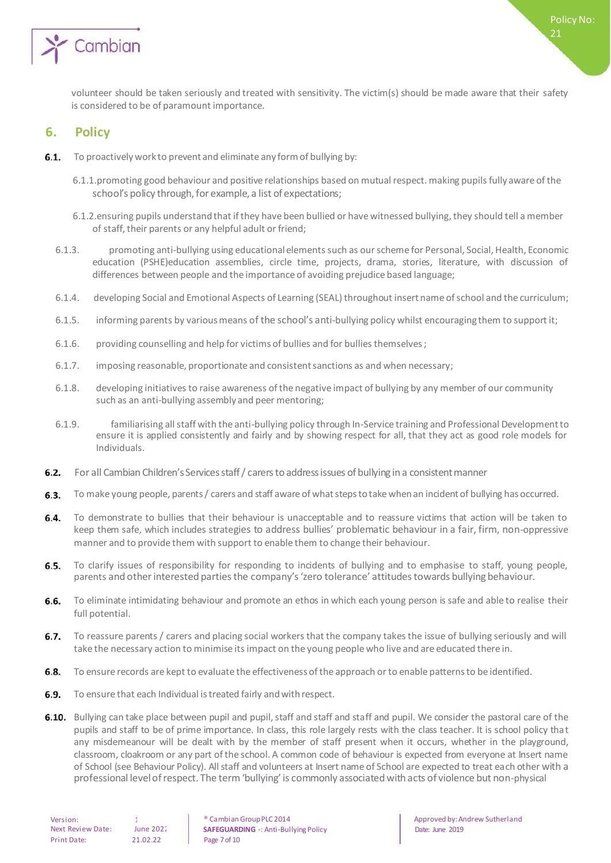

volunteer should be taken seriously and treated with sensitivity. The victim(s) should be made aware that their safety is considered to be of paramount importance.

#### **6. Policy**

- $6.1.$ To proactively work to prevent and eliminate any form of bullying by:
	- 6.1.1.promoting good behaviour and positive relationships based on mutual respect. making pupils fully aware of the school's policy through, for example, a list of expectations;
	- 6.1.2.ensuring pupils understand that if they have been bullied or have witnessed bullying, they should tell a member of staff, their parents or any helpful adult or friend;
	- 6.1.3. promoting anti-bullying using educational elements such as our scheme for Personal, Social, Health, Economic education (PSHE)education assemblies, circle time, projects, drama, stories, literature, with discussion of differences between people and the importance of avoiding prejudice based language;
	- 6.1.4. developing Social and Emotional Aspects of Learning (SEAL) throughout insert name of school and the curriculum;
	- 6.1.5. informing parents by various means of the school's anti-bullying policy whilst encouraging them to support it;
	- 6.1.6. providing counselling and help for victims of bullies and for bullies themselves ;
	- 6.1.7. imposing reasonable, proportionate and consistent sanctions as and when necessary;
	- 6.1.8. developing initiatives to raise awareness of the negative impact of bullying by any member of our community such as an anti-bullying assembly and peer mentoring;
	- 6.1.9. familiarising all staff with the anti-bullying policy through In-Service training and Professional Development to ensure it is applied consistently and fairly and by showing respect for all, that they act as good role models for Individuals.
- For all Cambian Children's Services staff / carers to address issues of bullying in a consistent manner  $6.2.$
- To make young people, parents / carers and staff aware of what steps to take when an incident of bullying has occurred.  $6.3.$
- $6.4.$ To demonstrate to bullies that their behaviour is unacceptable and to reassure victims that action will be taken to keep them safe, which includes strategies to address bullies' problematic behaviour in a fair, firm, non-oppressive manner and to provide them with support to enable them to change their behaviour.
- $6.5.$ To clarify issues of responsibility for responding to incidents of bullying and to emphasise to staff, young people, parents and other interested parties the company's 'zero tolerance' attitudes towards bullying behaviour.
- 6.6. To eliminate intimidating behaviour and promote an ethos in which each young person is safe and able to realise their full potential.
- $6.7.$ To reassure parents / carers and placing social workers that the company takes the issue of bullying seriously and will take the necessary action to minimise its impact on the young people who live and are educated there in.
- 6.8. To ensure records are kept to evaluate the effectiveness of the approach or to enable patterns to be identified.
- **6.9.** To ensure that each Individual is treated fairly and with respect.
- 6.10. Bullying can take place between pupil and pupil, staff and staff and staff and pupil. We consider the pastoral care of the pupils and staff to be of prime importance. In class, this role largely rests with the class teacher. It is school policy that any misdemeanour will be dealt with by the member of staff present when it occurs, whether in the playground, classroom, cloakroom or any part of the school. A common code of behaviour is expected from everyone at Insert name of School (see Behaviour Policy). All staff and volunteers at Insert name of School are expected to treat each other with a professional level of respect. The term 'bullying' is commonly associated with acts of violence but non-physical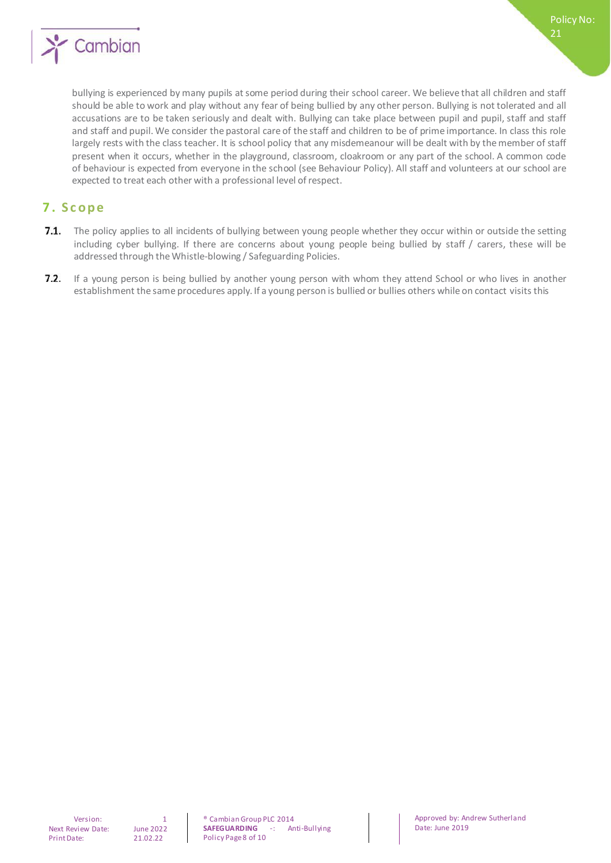

bullying is experienced by many pupils at some period during their school career. We believe that all children and staff should be able to work and play without any fear of being bullied by any other person. Bullying is not tolerated and all accusations are to be taken seriously and dealt with. Bullying can take place between pupil and pupil, staff and staff and staff and pupil. We consider the pastoral care of the staff and children to be of prime importance. In class this role largely rests with the class teacher. It is school policy that any misdemeanour will be dealt with by the member of staff present when it occurs, whether in the playground, classroom, cloakroom or any part of the school. A common code of behaviour is expected from everyone in the school (see Behaviour Policy). All staff and volunteers at our school are expected to treat each other with a professional level of respect.

#### **7 . S c o p e**

- 7.1. The policy applies to all incidents of bullying between young people whether they occur within or outside the setting including cyber bullying. If there are concerns about young people being bullied by staff / carers, these will be addressed through the Whistle-blowing / Safeguarding Policies.
- $7.2.$ If a young person is being bullied by another young person with whom they attend School or who lives in another establishment the same procedures apply. If a young person is bullied or bullies others while on contact visits this

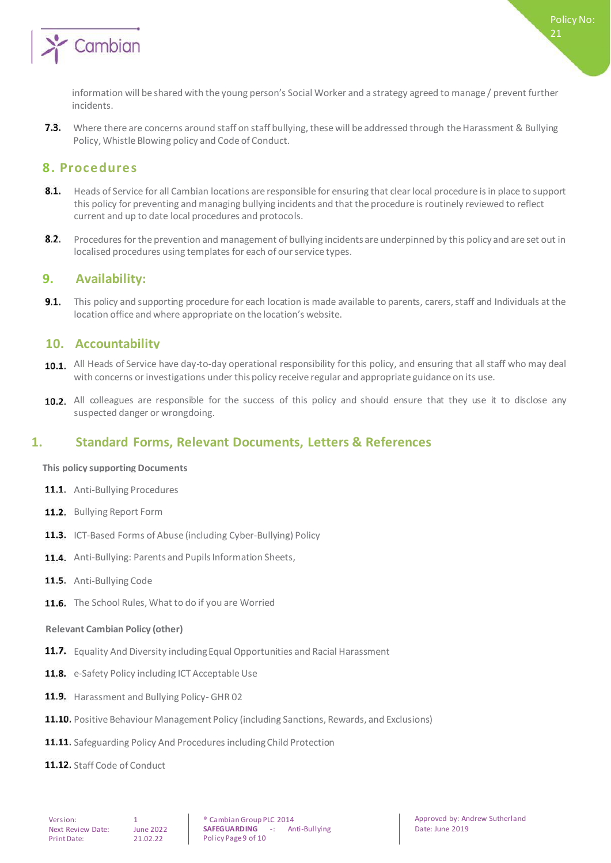

73 Where there are concerns around staff on staff bullying, these will be addressed through the Harassment & Bullying Policy, Whistle Blowing policy and Code of Conduct.

#### **8. Procedures**

- $8.1.$ Heads of Service for all Cambian locations are responsible for ensuring that clear local procedure is in place to support this policy for preventing and managing bullying incidents and that the procedure is routinely reviewed to reflect current and up to date local procedures and protocols.
- $8.2.$ Procedures for the prevention and management of bullying incidents are underpinned by this policy and are set out in localised procedures using templates for each of our service types.

#### **9. Availability:**

 $9.1.$ This policy and supporting procedure for each location is made available to parents, carers, staff and Individuals at the location office and where appropriate on the location's website.

#### **10. Accountability**

- 10.1. All Heads of Service have day-to-day operational responsibility for this policy, and ensuring that all staff who may deal with concerns or investigations under this policy receive regular and appropriate guidance on its use.
- 10.2. All colleagues are responsible for the success of this policy and should ensure that they use it to disclose any suspected danger or wrongdoing.

### **1. Standard Forms, Relevant Documents, Letters & References**

#### **This policy supporting Documents**

- 11.1. Anti-Bullying Procedures
- 11.2. Bullying Report Form
- 11.3. ICT-Based Forms of Abuse (including Cyber-Bullying) Policy
- 11.4. Anti-Bullying: Parents and Pupils Information Sheets,
- 11.5. Anti-Bullying Code
- 11.6. The School Rules, What to do if you are Worried

#### **Relevant Cambian Policy (other)**

- 11.7. Equality And Diversity including Equal Opportunities and Racial Harassment
- 11.8. e-Safety Policy including ICT Acceptable Use
- 11.9. Harassment and Bullying Policy- GHR 02
- **11.10.** Positive Behaviour Management Policy (including Sanctions, Rewards, and Exclusions)
- 11.11. Safeguarding Policy And Procedures including Child Protection
- 11.12. Staff Code of Conduct

Policy No: